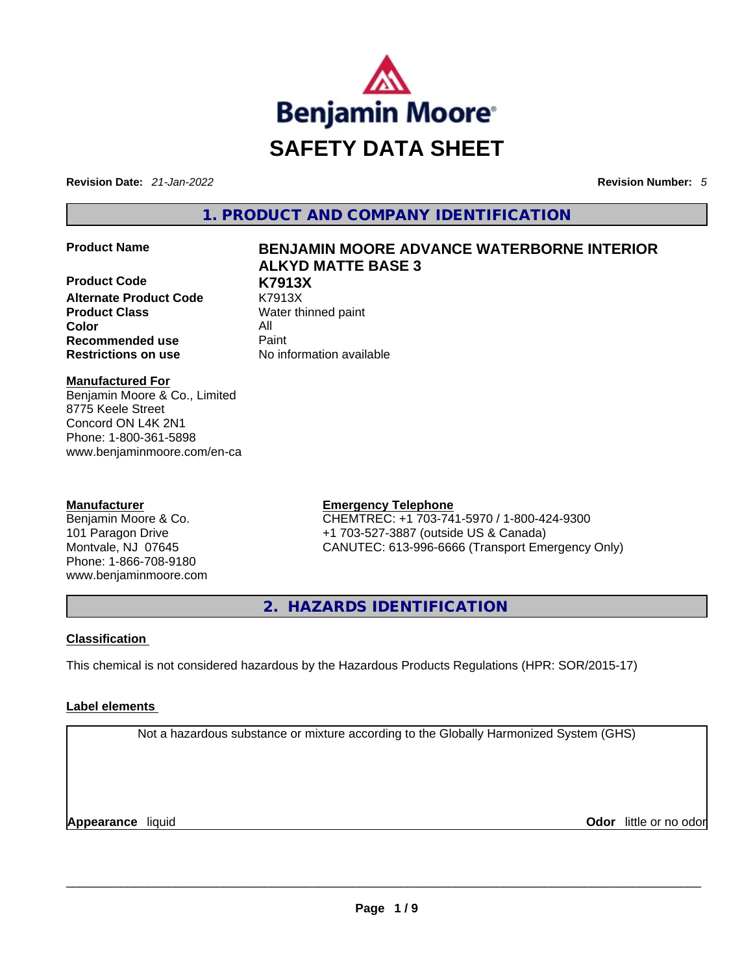

**Revision Date:** *21-Jan-2022* **Revision Number:** *5*

**1. PRODUCT AND COMPANY IDENTIFICATION** 

**Product Code K7913X Alternate Product Code** K7913X **Product Class Water thinned paint Color** All **Recommended use Paint Restrictions on use** No information available

# **Product Name BENJAMIN MOORE ADVANCE WATERBORNE INTERIOR ALKYD MATTE BASE 3**

**Manufactured For** Benjamin Moore & Co., Limited 8775 Keele Street Concord ON L4K 2N1 Phone: 1-800-361-5898 www.benjaminmoore.com/en-ca

# **Manufacturer**

Benjamin Moore & Co. 101 Paragon Drive Montvale, NJ 07645 Phone: 1-866-708-9180 www.benjaminmoore.com

# **Emergency Telephone**

CHEMTREC: +1 703-741-5970 / 1-800-424-9300 +1 703-527-3887 (outside US & Canada) CANUTEC: 613-996-6666 (Transport Emergency Only)

**2. HAZARDS IDENTIFICATION** 

# **Classification**

This chemical is not considered hazardous by the Hazardous Products Regulations (HPR: SOR/2015-17)

# **Label elements**

Not a hazardous substance or mixture according to the Globally Harmonized System (GHS)

**Appearance** liquid **Odor** little or no odor \_\_\_\_\_\_\_\_\_\_\_\_\_\_\_\_\_\_\_\_\_\_\_\_\_\_\_\_\_\_\_\_\_\_\_\_\_\_\_\_\_\_\_\_\_\_\_\_\_\_\_\_\_\_\_\_\_\_\_\_\_\_\_\_\_\_\_\_\_\_\_\_\_\_\_\_\_\_\_\_\_\_\_\_\_\_\_\_\_\_\_\_\_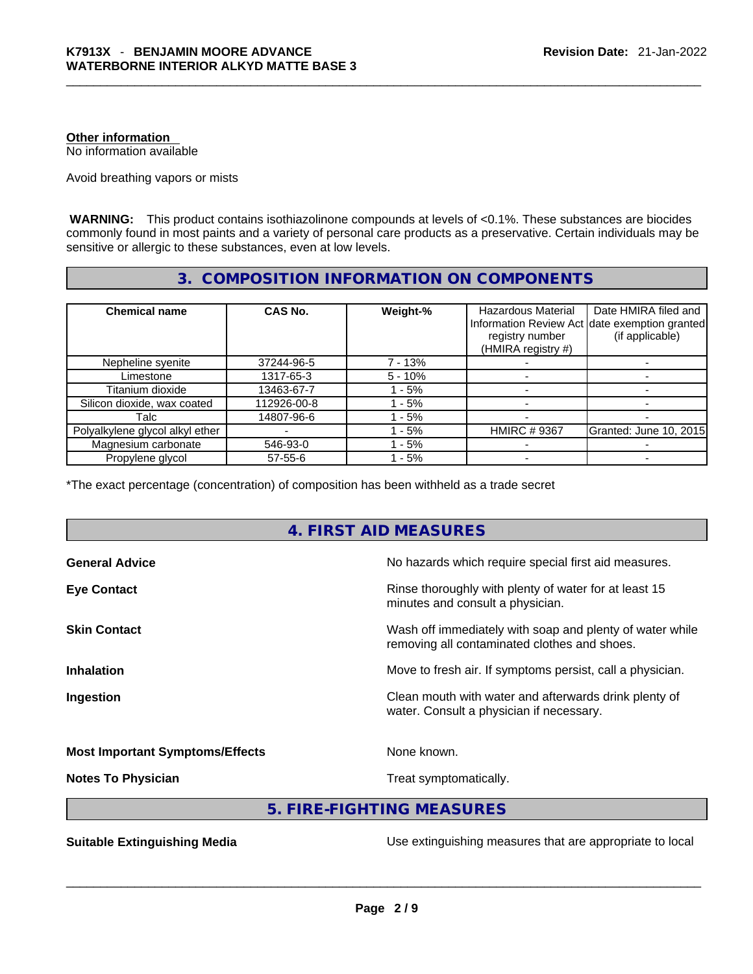# **Other information**

No information available

Avoid breathing vapors or mists

 **WARNING:** This product contains isothiazolinone compounds at levels of <0.1%. These substances are biocides commonly found in most paints and a variety of personal care products as a preservative. Certain individuals may be sensitive or allergic to these substances, even at low levels.

# **3. COMPOSITION INFORMATION ON COMPONENTS**

| <b>Chemical name</b>            | CAS No.       | Weight-%  | <b>Hazardous Material</b><br>registry number<br>(HMIRA registry #) | Date HMIRA filed and<br>Information Review Act date exemption granted<br>(if applicable) |
|---------------------------------|---------------|-----------|--------------------------------------------------------------------|------------------------------------------------------------------------------------------|
| Nepheline syenite               | 37244-96-5    | 7 - 13%   |                                                                    |                                                                                          |
| Limestone                       | 1317-65-3     | $5 - 10%$ |                                                                    |                                                                                          |
| Titanium dioxide                | 13463-67-7    | - 5%      |                                                                    |                                                                                          |
| Silicon dioxide, wax coated     | 112926-00-8   | $-5%$     |                                                                    |                                                                                          |
| Talc                            | 14807-96-6    | $-5%$     |                                                                    |                                                                                          |
| Polyalkylene glycol alkyl ether |               | $-5%$     | <b>HMIRC #9367</b>                                                 | Granted: June 10, 2015                                                                   |
| Magnesium carbonate             | 546-93-0      | $-5%$     |                                                                    |                                                                                          |
| Propylene glycol                | $57 - 55 - 6$ | $-5%$     |                                                                    |                                                                                          |

\*The exact percentage (concentration) of composition has been withheld as a trade secret

# **4. FIRST AID MEASURES**

| <b>General Advice</b>                  | No hazards which require special first aid measures.                                                     |
|----------------------------------------|----------------------------------------------------------------------------------------------------------|
| <b>Eye Contact</b>                     | Rinse thoroughly with plenty of water for at least 15<br>minutes and consult a physician.                |
| <b>Skin Contact</b>                    | Wash off immediately with soap and plenty of water while<br>removing all contaminated clothes and shoes. |
| <b>Inhalation</b>                      | Move to fresh air. If symptoms persist, call a physician.                                                |
| Ingestion                              | Clean mouth with water and afterwards drink plenty of<br>water. Consult a physician if necessary.        |
| <b>Most Important Symptoms/Effects</b> | None known.                                                                                              |
| <b>Notes To Physician</b>              | Treat symptomatically.                                                                                   |

# **5. FIRE-FIGHTING MEASURES**

**Suitable Extinguishing Media** Media Use extinguishing measures that are appropriate to local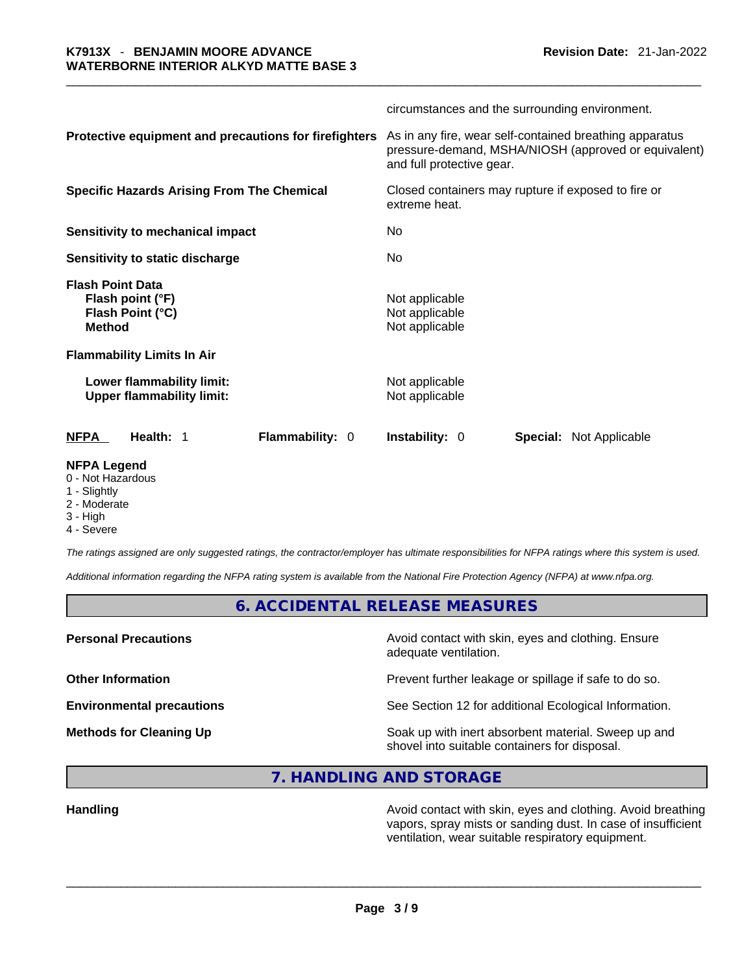|                                                                                  | circumstances and the surrounding environment.                                                                                               |  |  |
|----------------------------------------------------------------------------------|----------------------------------------------------------------------------------------------------------------------------------------------|--|--|
| Protective equipment and precautions for firefighters                            | As in any fire, wear self-contained breathing apparatus<br>pressure-demand, MSHA/NIOSH (approved or equivalent)<br>and full protective gear. |  |  |
| <b>Specific Hazards Arising From The Chemical</b>                                | Closed containers may rupture if exposed to fire or<br>extreme heat.                                                                         |  |  |
| Sensitivity to mechanical impact                                                 | No                                                                                                                                           |  |  |
| Sensitivity to static discharge                                                  | No                                                                                                                                           |  |  |
| <b>Flash Point Data</b><br>Flash point (°F)<br>Flash Point (°C)<br><b>Method</b> | Not applicable<br>Not applicable<br>Not applicable                                                                                           |  |  |
| <b>Flammability Limits In Air</b>                                                |                                                                                                                                              |  |  |
| Lower flammability limit:<br><b>Upper flammability limit:</b>                    | Not applicable<br>Not applicable                                                                                                             |  |  |
| Health: 1<br><b>Flammability: 0</b><br>NFPA                                      | <b>Instability: 0</b><br>Special: Not Applicable                                                                                             |  |  |
| <b>NFPA Legend</b>                                                               |                                                                                                                                              |  |  |

#### 0 - Not Hazardous

- 1 Slightly
- 2 Moderate
- 3 High
- 4 Severe

*The ratings assigned are only suggested ratings, the contractor/employer has ultimate responsibilities for NFPA ratings where this system is used.* 

*Additional information regarding the NFPA rating system is available from the National Fire Protection Agency (NFPA) at www.nfpa.org.* 

**6. ACCIDENTAL RELEASE MEASURES** 

**Personal Precautions Precautions Avoid contact with skin, eyes and clothing. Ensure** adequate ventilation.

**Other Information Discription Prevent further leakage or spillage if safe to do so.** 

**Environmental precautions** See Section 12 for additional Ecological Information.

**Methods for Cleaning Up Example 20 Soak** up with inert absorbent material. Sweep up and shovel into suitable containers for disposal.

# **7. HANDLING AND STORAGE**

**Handling <b>Avoid** contact with skin, eyes and clothing. Avoid breathing and state of the sking of the sking and clothing. Avoid breathing vapors, spray mists or sanding dust. In case of insufficient ventilation, wear suitable respiratory equipment.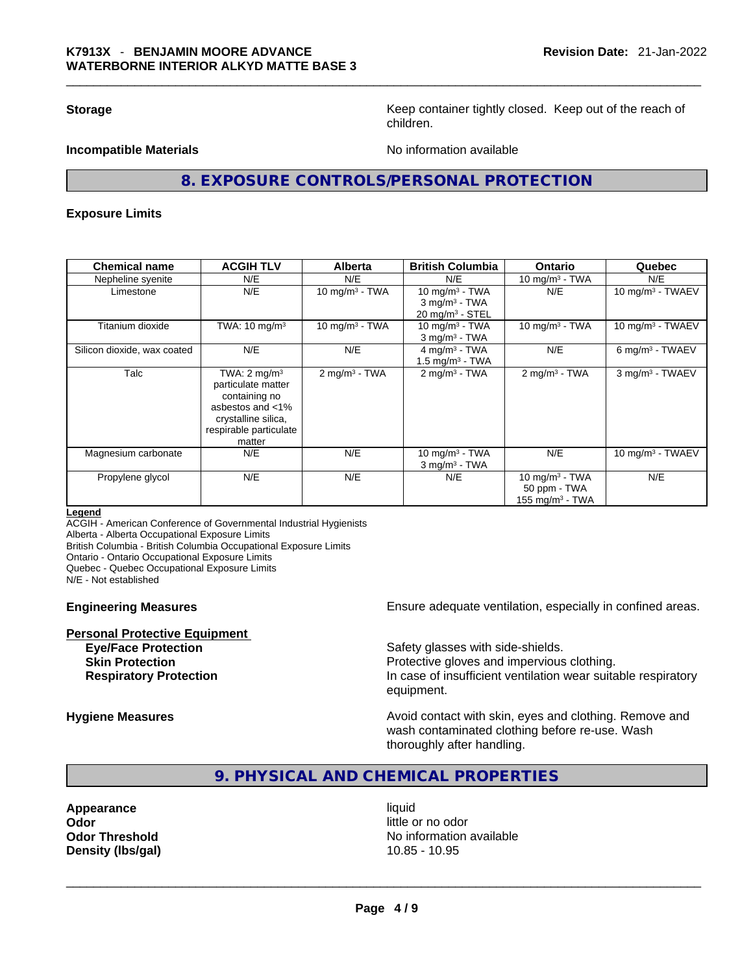**Storage Keep container tightly closed. Keep out of the reach of Keep** container tightly closed. Keep out of the reach of children.

**Incompatible Materials Incompatible Materials** 

# **8. EXPOSURE CONTROLS/PERSONAL PROTECTION**

#### **Exposure Limits**

| <b>Chemical name</b>        | <b>ACGIH TLV</b>                                                                                                                              | Alberta                     | <b>British Columbia</b>                                                        | <b>Ontario</b>                                          | Quebec                      |
|-----------------------------|-----------------------------------------------------------------------------------------------------------------------------------------------|-----------------------------|--------------------------------------------------------------------------------|---------------------------------------------------------|-----------------------------|
| Nepheline syenite           | N/E                                                                                                                                           | N/E                         | N/E                                                                            | 10 mg/m $3$ - TWA                                       | N/E                         |
| Limestone                   | N/E                                                                                                                                           | 10 mg/m $3$ - TWA           | 10 mg/m $3$ - TWA<br>$3$ mg/m <sup>3</sup> - TWA<br>$20 \text{ mg/m}^3$ - STEL | N/E                                                     | 10 mg/m $3$ - TWAEV         |
| Titanium dioxide            | TWA: $10 \text{ mg/m}^3$                                                                                                                      | 10 mg/m $3$ - TWA           | 10 mg/m $3$ - TWA<br>$3$ mg/m <sup>3</sup> - TWA                               | 10 mg/m $3$ - TWA                                       | 10 mg/m $3$ - TWAEV         |
| Silicon dioxide, wax coated | N/E                                                                                                                                           | N/E                         | $4$ mg/m <sup>3</sup> - TWA<br>1.5 mg/m $3$ - TWA                              | N/E                                                     | 6 mg/m <sup>3</sup> - TWAEV |
| Talc                        | TWA: $2 \text{ mg/m}^3$<br>particulate matter<br>containing no<br>asbestos and <1%<br>crystalline silica,<br>respirable particulate<br>matter | $2$ mg/m <sup>3</sup> - TWA | $2$ mg/m <sup>3</sup> - TWA                                                    | $2$ mg/m <sup>3</sup> - TWA                             | 3 mg/m <sup>3</sup> - TWAEV |
| Magnesium carbonate         | N/E                                                                                                                                           | N/E                         | 10 mg/m $3$ - TWA<br>$3$ mg/m <sup>3</sup> - TWA                               | N/E                                                     | 10 mg/m $3$ - TWAEV         |
| Propylene glycol            | N/E                                                                                                                                           | N/E                         | N/E                                                                            | 10 mg/m $3$ - TWA<br>50 ppm - TWA<br>155 mg/m $3$ - TWA | N/E                         |

#### **Legend**

ACGIH - American Conference of Governmental Industrial Hygienists Alberta - Alberta Occupational Exposure Limits

British Columbia - British Columbia Occupational Exposure Limits

Ontario - Ontario Occupational Exposure Limits

Quebec - Quebec Occupational Exposure Limits

N/E - Not established

**Personal Protective Equipment**

**Engineering Measures Ensure** Ensure adequate ventilation, especially in confined areas.

**Eye/Face Protection Safety glasses with side-shields. Skin Protection Protection Protective gloves and impervious clothing. Respiratory Protection In case of insufficient ventilation wear suitable respiratory** equipment.

**Hygiene Measures Avoid contact with skin, eyes and clothing. Remove and Hygiene Measures** and clothing. Remove and wash contaminated clothing before re-use. Wash thoroughly after handling.

# **9. PHYSICAL AND CHEMICAL PROPERTIES**

**Appearance** liquid **Odor Odor Odor Odor Odor Odor** *little or no odor little or no odor little or no odor* 

**Odor Threshold** No information available **Density (lbs/gal)** 10.85 - 10.95 \_\_\_\_\_\_\_\_\_\_\_\_\_\_\_\_\_\_\_\_\_\_\_\_\_\_\_\_\_\_\_\_\_\_\_\_\_\_\_\_\_\_\_\_\_\_\_\_\_\_\_\_\_\_\_\_\_\_\_\_\_\_\_\_\_\_\_\_\_\_\_\_\_\_\_\_\_\_\_\_\_\_\_\_\_\_\_\_\_\_\_\_\_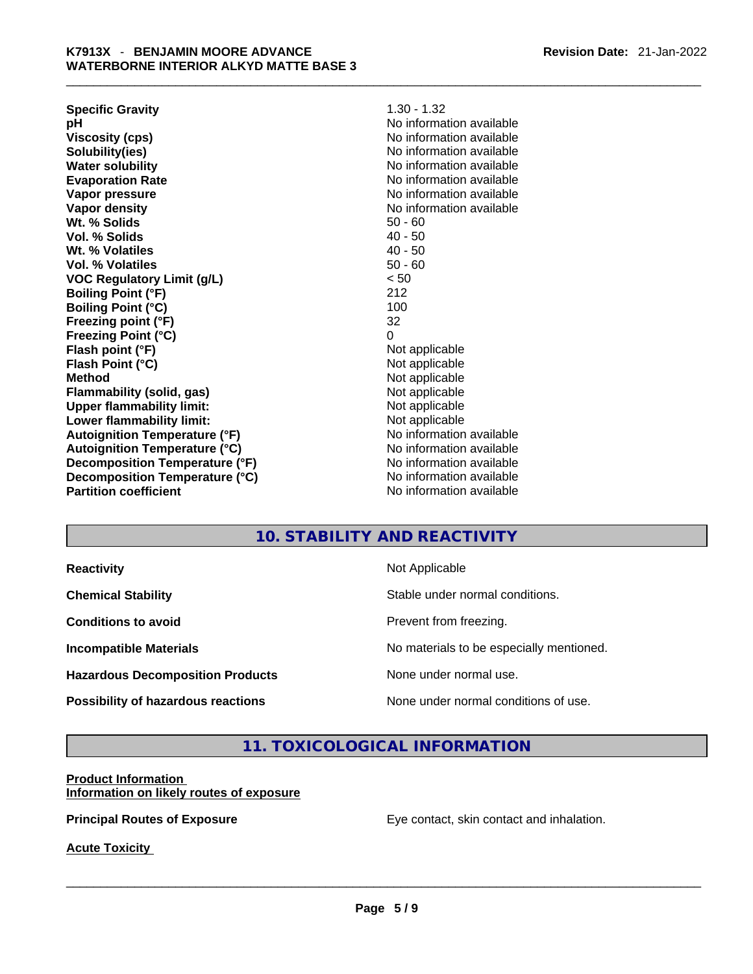| <b>Specific Gravity</b>              | $1.30 - 1.32$            |  |  |
|--------------------------------------|--------------------------|--|--|
| рH                                   | No information available |  |  |
| <b>Viscosity (cps)</b>               | No information available |  |  |
| Solubility(ies)                      | No information available |  |  |
| <b>Water solubility</b>              | No information available |  |  |
| <b>Evaporation Rate</b>              | No information available |  |  |
| Vapor pressure                       | No information available |  |  |
| Vapor density                        | No information available |  |  |
| Wt. % Solids                         | $50 - 60$                |  |  |
| Vol. % Solids                        | $40 - 50$                |  |  |
| Wt. % Volatiles                      | $40 - 50$                |  |  |
| Vol. % Volatiles                     | $50 - 60$                |  |  |
| <b>VOC Regulatory Limit (g/L)</b>    | < 50                     |  |  |
| <b>Boiling Point (°F)</b>            | 212                      |  |  |
| <b>Boiling Point (°C)</b>            | 100                      |  |  |
| Freezing point (°F)                  | 32                       |  |  |
| <b>Freezing Point (°C)</b>           | 0                        |  |  |
| Flash point (°F)                     | Not applicable           |  |  |
| Flash Point (°C)                     | Not applicable           |  |  |
| <b>Method</b>                        | Not applicable           |  |  |
| <b>Flammability (solid, gas)</b>     | Not applicable           |  |  |
| <b>Upper flammability limit:</b>     | Not applicable           |  |  |
| Lower flammability limit:            | Not applicable           |  |  |
| <b>Autoignition Temperature (°F)</b> | No information available |  |  |
| <b>Autoignition Temperature (°C)</b> | No information available |  |  |
| Decomposition Temperature (°F)       | No information available |  |  |
| Decomposition Temperature (°C)       | No information available |  |  |
| <b>Partition coefficient</b>         | No information available |  |  |
|                                      |                          |  |  |

# **10. STABILITY AND REACTIVITY**

| <b>Reactivity</b> |  |
|-------------------|--|
|                   |  |

**Hazardous Decomposition Products** None under normal use.

**Not Applicable** 

**Chemical Stability Chemical Stability** Stable under normal conditions.

**Conditions to avoid Conditions to avoid Prevent from freezing.** 

**Incompatible Materials Materials Materials No materials to be especially mentioned.** 

**Possibility of hazardous reactions** None under normal conditions of use.

# **11. TOXICOLOGICAL INFORMATION**

#### **Product Information Information on likely routes of exposure**

**Principal Routes of Exposure** Eye contact, skin contact and inhalation.

**Acute Toxicity**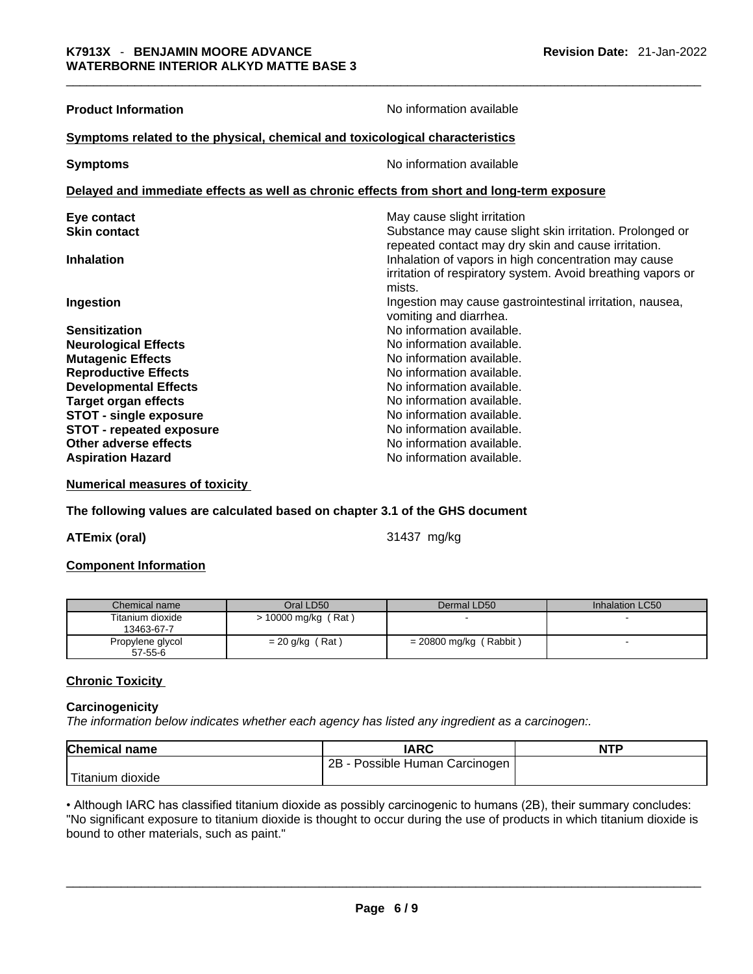| <b>Product Information</b>                                                                 | No information available                                                                                                                                                             |  |  |  |
|--------------------------------------------------------------------------------------------|--------------------------------------------------------------------------------------------------------------------------------------------------------------------------------------|--|--|--|
| Symptoms related to the physical, chemical and toxicological characteristics               |                                                                                                                                                                                      |  |  |  |
| <b>Symptoms</b>                                                                            | No information available                                                                                                                                                             |  |  |  |
| Delayed and immediate effects as well as chronic effects from short and long-term exposure |                                                                                                                                                                                      |  |  |  |
| Eye contact                                                                                | May cause slight irritation                                                                                                                                                          |  |  |  |
| <b>Skin contact</b>                                                                        | Substance may cause slight skin irritation. Prolonged or                                                                                                                             |  |  |  |
| <b>Inhalation</b>                                                                          | repeated contact may dry skin and cause irritation.<br>Inhalation of vapors in high concentration may cause<br>irritation of respiratory system. Avoid breathing vapors or<br>mists. |  |  |  |
| Ingestion                                                                                  | Ingestion may cause gastrointestinal irritation, nausea,<br>vomiting and diarrhea.                                                                                                   |  |  |  |
| <b>Sensitization</b>                                                                       | No information available.                                                                                                                                                            |  |  |  |
| <b>Neurological Effects</b>                                                                | No information available.                                                                                                                                                            |  |  |  |
| <b>Mutagenic Effects</b>                                                                   | No information available.                                                                                                                                                            |  |  |  |
| <b>Reproductive Effects</b>                                                                | No information available.                                                                                                                                                            |  |  |  |
| <b>Developmental Effects</b>                                                               | No information available.                                                                                                                                                            |  |  |  |
| <b>Target organ effects</b>                                                                | No information available.                                                                                                                                                            |  |  |  |
| <b>STOT - single exposure</b>                                                              | No information available.                                                                                                                                                            |  |  |  |
| <b>STOT - repeated exposure</b>                                                            | No information available.                                                                                                                                                            |  |  |  |
| Other adverse effects                                                                      | No information available.                                                                                                                                                            |  |  |  |
| <b>Aspiration Hazard</b>                                                                   | No information available.                                                                                                                                                            |  |  |  |

**Numerical measures of toxicity**

**The following values are calculated based on chapter 3.1 of the GHS document**

**ATEmix (oral)** 31437 mg/kg

#### **Component Information**

| Chemical name                     | Oral LD50           | Dermal LD50            | Inhalation LC50 |
|-----------------------------------|---------------------|------------------------|-----------------|
| Titanium dioxide<br>13463-67-7    | > 10000 mg/kg (Rat) |                        |                 |
| Propylene glycol<br>$57 - 55 - 6$ | $= 20$ g/kg (Rat)   | = 20800 mg/kg (Rabbit) |                 |

### **Chronic Toxicity**

#### **Carcinogenicity**

*The information below indicates whether each agency has listed any ingredient as a carcinogen:.* 

| <b>Chemical name</b> | <b>IARC</b>                     | <b>NTP</b> |
|----------------------|---------------------------------|------------|
|                      | 2B<br>Possible Human Carcinogen |            |
| Titanium dioxide     |                                 |            |

• Although IARC has classified titanium dioxide as possibly carcinogenic to humans (2B), their summary concludes: "No significant exposure to titanium dioxide is thought to occur during the use of products in which titanium dioxide is<br>bound to other materials, such as paint." bound to other materials, such as paint." \_\_\_\_\_\_\_\_\_\_\_\_\_\_\_\_\_\_\_\_\_\_\_\_\_\_\_\_\_\_\_\_\_\_\_\_\_\_\_\_\_\_\_\_\_\_\_\_\_\_\_\_\_\_\_\_\_\_\_\_\_\_\_\_\_\_\_\_\_\_\_\_\_\_\_\_\_\_\_\_\_\_\_\_\_\_\_\_\_\_\_\_\_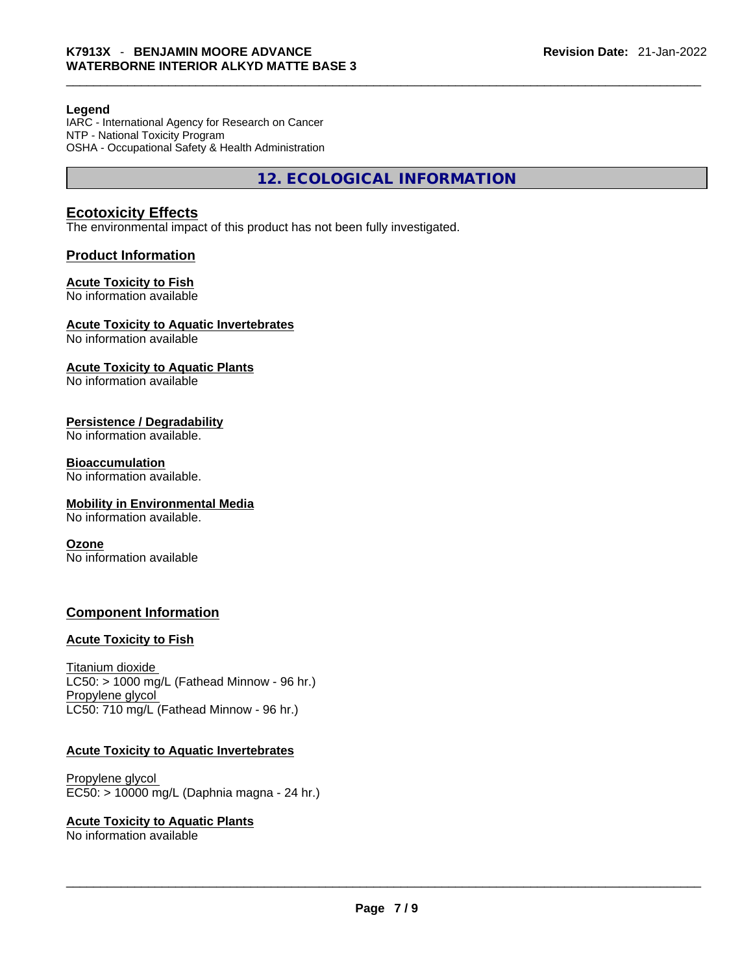### **Legend**

IARC - International Agency for Research on Cancer NTP - National Toxicity Program OSHA - Occupational Safety & Health Administration

**12. ECOLOGICAL INFORMATION** 

# **Ecotoxicity Effects**

The environmental impact of this product has not been fully investigated.

### **Product Information**

# **Acute Toxicity to Fish**

No information available

### **Acute Toxicity to Aquatic Invertebrates**

No information available

### **Acute Toxicity to Aquatic Plants**

No information available

### **Persistence / Degradability**

No information available.

#### **Bioaccumulation**

No information available.

#### **Mobility in Environmental Media**

No information available.

#### **Ozone**

No information available

# **Component Information**

#### **Acute Toxicity to Fish**

Titanium dioxide  $LC50:$  > 1000 mg/L (Fathead Minnow - 96 hr.) Propylene glycol LC50: 710 mg/L (Fathead Minnow - 96 hr.)

#### **Acute Toxicity to Aquatic Invertebrates**

Propylene glycol EC50: > 10000 mg/L (Daphnia magna - 24 hr.)

#### **Acute Toxicity to Aquatic Plants**

No information available \_\_\_\_\_\_\_\_\_\_\_\_\_\_\_\_\_\_\_\_\_\_\_\_\_\_\_\_\_\_\_\_\_\_\_\_\_\_\_\_\_\_\_\_\_\_\_\_\_\_\_\_\_\_\_\_\_\_\_\_\_\_\_\_\_\_\_\_\_\_\_\_\_\_\_\_\_\_\_\_\_\_\_\_\_\_\_\_\_\_\_\_\_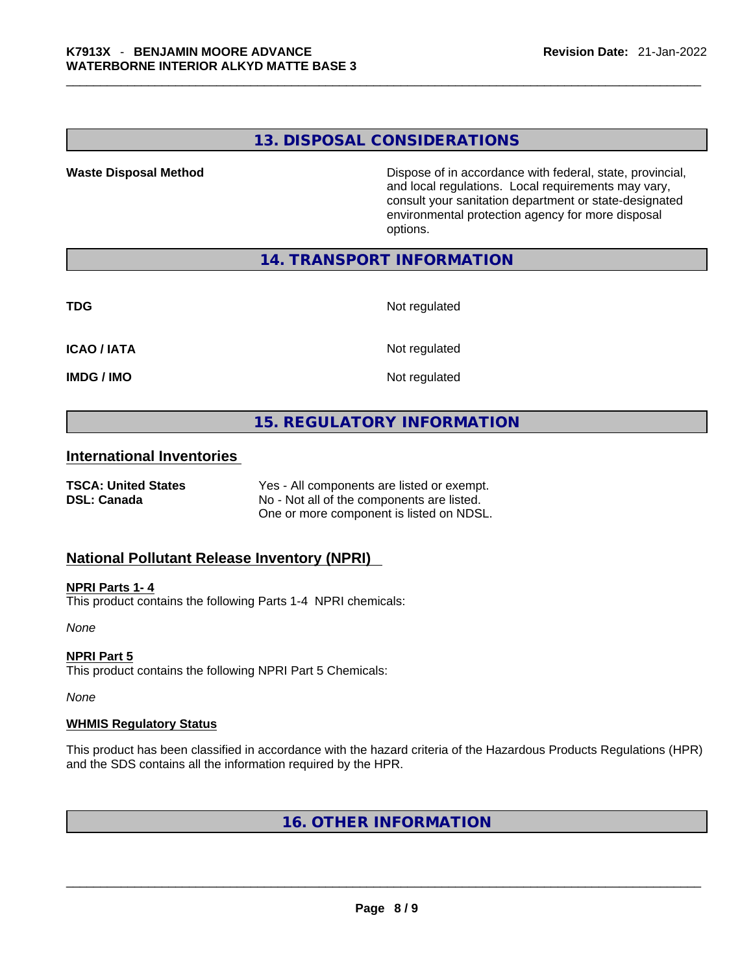# **13. DISPOSAL CONSIDERATIONS**

**Waste Disposal Method** Dispose of in accordance with federal, state, provincial, and local regulations. Local requirements may vary, consult your sanitation department or state-designated environmental protection agency for more disposal options.

# **14. TRANSPORT INFORMATION**

**TDG** Not regulated

**ICAO / IATA** Not regulated

**IMDG / IMO** Not regulated

# **15. REGULATORY INFORMATION**

# **International Inventories**

**TSCA: United States** Yes - All components are listed or exempt. **DSL: Canada** No - Not all of the components are listed. One or more component is listed on NDSL.

# **National Pollutant Release Inventory (NPRI)**

### **NPRI Parts 1- 4**

This product contains the following Parts 1-4 NPRI chemicals:

*None*

## **NPRI Part 5**

This product contains the following NPRI Part 5 Chemicals:

*None*

#### **WHMIS Regulatory Status**

This product has been classified in accordance with the hazard criteria of the Hazardous Products Regulations (HPR) and the SDS contains all the information required by the HPR.

# **16. OTHER INFORMATION**